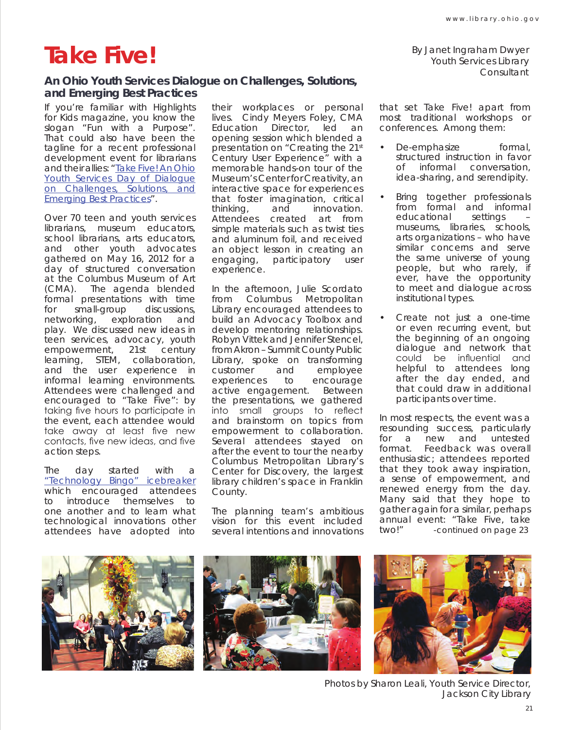## **Take Five!**

By Janet Ingraham Dwyer Youth Services Library Consultant

## **An Ohio Youth Services Dialogue on Challenges, Solutions, and Emerging Best Practices**

If you're familiar with Highlights for Kids magazine, you know the slogan "Fun with a Purpose". That could also have been the tagline for a recent professional development event for librarians and their allies: "Take Five! An Ohio Youth Services Day of Dialogue on Challenges, Solutions, and Emerging Best Practices".

Over 70 teen and youth services librarians, museum educators, school librarians, arts educators, and other youth advocates gathered on May 16, 2012 for a day of structured conversation at the Columbus Museum of Art (CMA). The agenda blended formal presentations with time for small-group discussions, networking, exploration and play. We discussed new ideas in teen services, advocacy, youth empowerment, 21st century learning, STEM, collaboration, and the user experience in informal learning environments. Attendees were challenged and encouraged to "Take Five": by taking five hours to participate in the event, each attendee would take away at least five new contacts, five new ideas, and five action steps.

The day started with a "Technology Bingo" icebreaker which encouraged attendees to introduce themselves to one another and to learn what technological innovations other attendees have adopted into their workplaces or personal lives. Cindy Meyers Foley, CMA Education Director, led an opening session which blended a presentation on "Creating the 21st Century User Experience" with a memorable hands-on tour of the Museum's Center for Creativity, an interactive space for experiences that foster imagination, critical thinking, and innovation. Attendees created art from simple materials such as twist ties and aluminum foil, and received an object lesson in creating an engaging, participatory user experience.

In the afternoon, Julie Scordato from Columbus Metropolitan Library encouraged attendees to build an Advocacy Toolbox and develop mentoring relationships. Robyn Vittek and Jennifer Stencel, from Akron – Summit County Public Library, spoke on transforming<br>customer and emplovee customer and employee experiences to encourage active engagement. Between the presentations, we gathered into small groups to reflect and brainstorm on topics from empowerment to collaboration. Several attendees stayed on after the event to tour the nearby Columbus Metropolitan Library's Center for Discovery, the largest library children's space in Franklin County.

The planning team's ambitious vision for this event included several intentions and innovations

that set *Take Five!* apart from most traditional workshops or conferences. Among them:

- De-emphasize formal, structured instruction in favor of informal conversation, idea-sharing, and serendipity.
- Bring together professionals from formal and informal educational settings – museums, libraries, schools, arts organizations – who have similar concerns and serve the same universe of young people, but who rarely, if ever, have the opportunity to meet and dialogue across institutional types.
- Create not just a one-time or even recurring event, but the beginning of an ongoing dialogue and network that could be influential and helpful to attendees long after the day ended, and that could draw in additional participants over time.

In most respects, the event was a resounding success, particularly for a new and untested format. Feedback was overall enthusiastic; attendees reported that they took away inspiration, a sense of empowerment, and renewed energy from the day. Many said that they hope to gather again for a similar, perhaps annual event: "Take Five, take two!" *-continued on page 23*







Photos by Sharon Leali, Youth Service Director, Jackson City Library